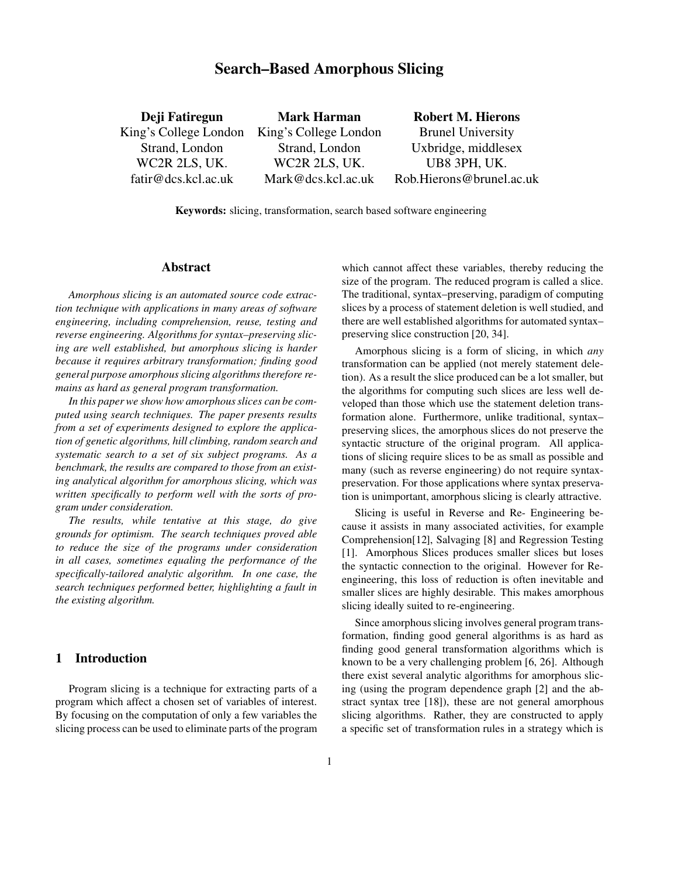# **Search–Based Amorphous Slicing**

King's College London King's College London Brunel University

WC2R 2LS, UK. WC2R 2LS, UK. UB8 3PH, UK.

**Deji Fatiregun Mark Harman Robert M. Hierons** Strand, London Strand, London Uxbridge, middlesex fatir@dcs.kcl.ac.uk Mark@dcs.kcl.ac.uk Rob.Hierons@brunel.ac.uk

**Keywords:** slicing, transformation, search based software engineering

### **Abstract**

*Amorphous slicing is an automated source code extraction technique with applications in many areas of software engineering, including comprehension, reuse, testing and reverse engineering. Algorithms for syntax–preserving slicing are well established, but amorphous slicing is harder because it requires arbitrary transformation; finding good general purpose amorphous slicing algorithms therefore remains as hard as general program transformation.*

*In this paper we show how amorphous slices can be computed using search techniques. The paper presents results from a set of experiments designed to explore the application of genetic algorithms, hill climbing, random search and systematic search to a set of six subject programs. As a benchmark, the results are compared to those from an existing analytical algorithm for amorphous slicing, which was written specifically to perform well with the sorts of program under consideration.*

*The results, while tentative at this stage, do give grounds for optimism. The search techniques proved able to reduce the size of the programs under consideration in all cases, sometimes equaling the performance of the specifically-tailored analytic algorithm. In one case, the search techniques performed better, highlighting a fault in the existing algorithm.*

# **1 Introduction**

Program slicing is a technique for extracting parts of a program which affect a chosen set of variables of interest. By focusing on the computation of only a few variables the slicing process can be used to eliminate parts of the program which cannot affect these variables, thereby reducing the size of the program. The reduced program is called a slice. The traditional, syntax–preserving, paradigm of computing slices by a process of statement deletion is well studied, and there are well established algorithms for automated syntax– preserving slice construction [20, 34].

Amorphous slicing is a form of slicing, in which *any* transformation can be applied (not merely statement deletion). As a result the slice produced can be a lot smaller, but the algorithms for computing such slices are less well developed than those which use the statement deletion transformation alone. Furthermore, unlike traditional, syntax– preserving slices, the amorphous slices do not preserve the syntactic structure of the original program. All applications of slicing require slices to be as small as possible and many (such as reverse engineering) do not require syntaxpreservation. For those applications where syntax preservation is unimportant, amorphous slicing is clearly attractive.

Slicing is useful in Reverse and Re- Engineering because it assists in many associated activities, for example Comprehension[12], Salvaging [8] and Regression Testing [1]. Amorphous Slices produces smaller slices but loses the syntactic connection to the original. However for Reengineering, this loss of reduction is often inevitable and smaller slices are highly desirable. This makes amorphous slicing ideally suited to re-engineering.

Since amorphous slicing involves general program transformation, finding good general algorithms is as hard as finding good general transformation algorithms which is known to be a very challenging problem [6, 26]. Although there exist several analytic algorithms for amorphous slicing (using the program dependence graph [2] and the abstract syntax tree [18]), these are not general amorphous slicing algorithms. Rather, they are constructed to apply a specific set of transformation rules in a strategy which is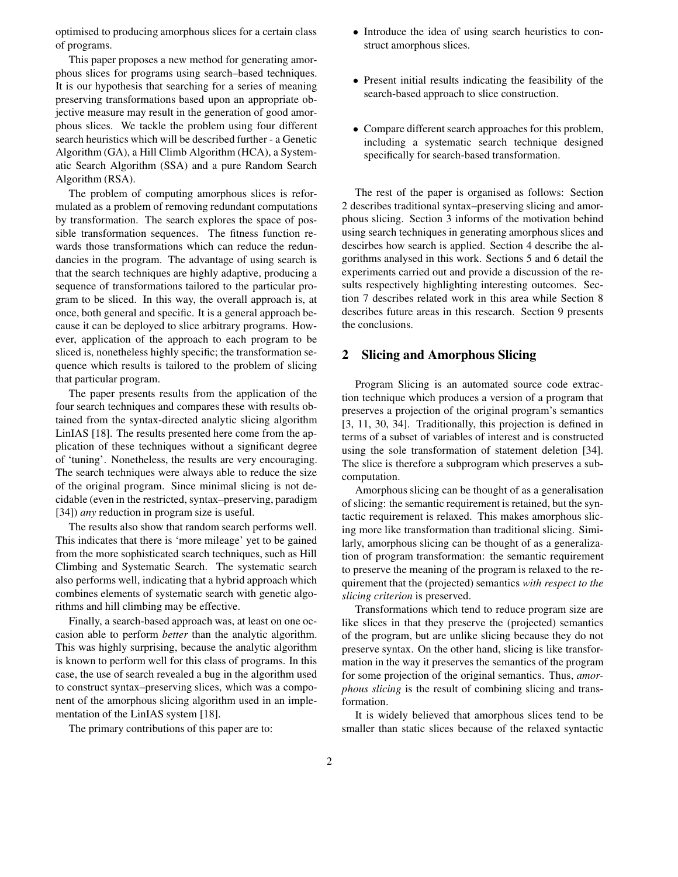optimised to producing amorphous slices for a certain class of programs.

This paper proposes a new method for generating amorphous slices for programs using search–based techniques. It is our hypothesis that searching for a series of meaning preserving transformations based upon an appropriate objective measure may result in the generation of good amorphous slices. We tackle the problem using four different search heuristics which will be described further - a Genetic Algorithm (GA), a Hill Climb Algorithm (HCA), a Systematic Search Algorithm (SSA) and a pure Random Search Algorithm (RSA).

The problem of computing amorphous slices is reformulated as a problem of removing redundant computations by transformation. The search explores the space of possible transformation sequences. The fitness function rewards those transformations which can reduce the redundancies in the program. The advantage of using search is that the search techniques are highly adaptive, producing a sequence of transformations tailored to the particular program to be sliced. In this way, the overall approach is, at once, both general and specific. It is a general approach because it can be deployed to slice arbitrary programs. However, application of the approach to each program to be sliced is, nonetheless highly specific; the transformation sequence which results is tailored to the problem of slicing that particular program.

The paper presents results from the application of the four search techniques and compares these with results obtained from the syntax-directed analytic slicing algorithm LinIAS [18]. The results presented here come from the application of these techniques without a significant degree of 'tuning'. Nonetheless, the results are very encouraging. The search techniques were always able to reduce the size of the original program. Since minimal slicing is not decidable (even in the restricted, syntax–preserving, paradigm [34]) *any* reduction in program size is useful.

The results also show that random search performs well. This indicates that there is 'more mileage' yet to be gained from the more sophisticated search techniques, such as Hill Climbing and Systematic Search. The systematic search also performs well, indicating that a hybrid approach which combines elements of systematic search with genetic algorithms and hill climbing may be effective.

Finally, a search-based approach was, at least on one occasion able to perform *better* than the analytic algorithm. This was highly surprising, because the analytic algorithm is known to perform well for this class of programs. In this case, the use of search revealed a bug in the algorithm used to construct syntax–preserving slices, which was a component of the amorphous slicing algorithm used in an implementation of the LinIAS system [18].

The primary contributions of this paper are to:

- *•* Introduce the idea of using search heuristics to construct amorphous slices.
- Present initial results indicating the feasibility of the search-based approach to slice construction.
- *•* Compare different search approaches for this problem, including a systematic search technique designed specifically for search-based transformation.

The rest of the paper is organised as follows: Section 2 describes traditional syntax–preserving slicing and amorphous slicing. Section 3 informs of the motivation behind using search techniques in generating amorphous slices and descirbes how search is applied. Section 4 describe the algorithms analysed in this work. Sections 5 and 6 detail the experiments carried out and provide a discussion of the results respectively highlighting interesting outcomes. Section 7 describes related work in this area while Section 8 describes future areas in this research. Section 9 presents the conclusions.

#### **2 Slicing and Amorphous Slicing**

Program Slicing is an automated source code extraction technique which produces a version of a program that preserves a projection of the original program's semantics [3, 11, 30, 34]. Traditionally, this projection is defined in terms of a subset of variables of interest and is constructed using the sole transformation of statement deletion [34]. The slice is therefore a subprogram which preserves a subcomputation.

Amorphous slicing can be thought of as a generalisation of slicing: the semantic requirement is retained, but the syntactic requirement is relaxed. This makes amorphous slicing more like transformation than traditional slicing. Similarly, amorphous slicing can be thought of as a generalization of program transformation: the semantic requirement to preserve the meaning of the program is relaxed to the requirement that the (projected) semantics *with respect to the slicing criterion* is preserved.

Transformations which tend to reduce program size are like slices in that they preserve the (projected) semantics of the program, but are unlike slicing because they do not preserve syntax. On the other hand, slicing is like transformation in the way it preserves the semantics of the program for some projection of the original semantics. Thus, *amorphous slicing* is the result of combining slicing and transformation.

It is widely believed that amorphous slices tend to be smaller than static slices because of the relaxed syntactic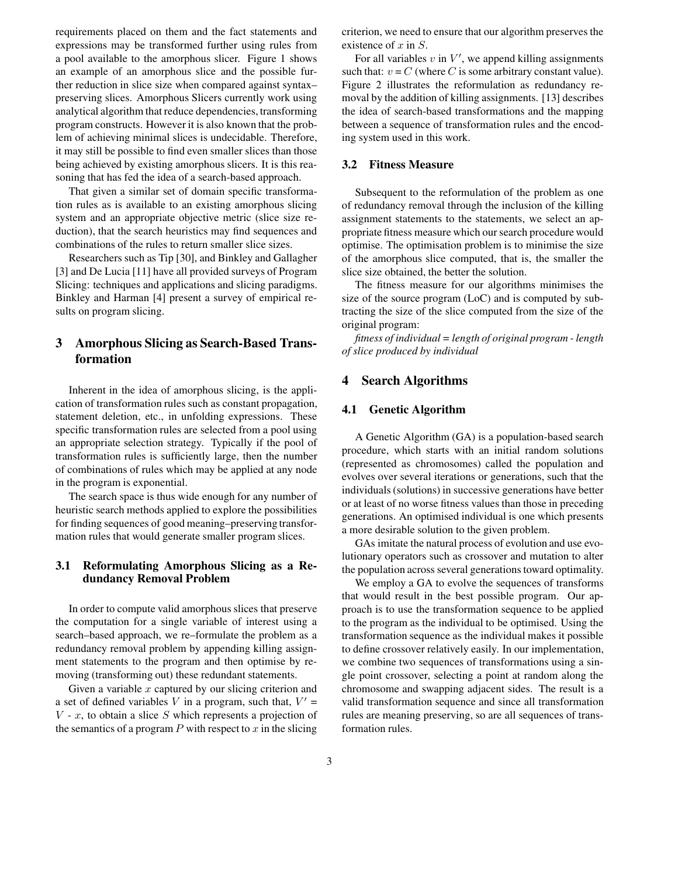requirements placed on them and the fact statements and expressions may be transformed further using rules from a pool available to the amorphous slicer. Figure 1 shows an example of an amorphous slice and the possible further reduction in slice size when compared against syntax– preserving slices. Amorphous Slicers currently work using analytical algorithm that reduce dependencies, transforming program constructs. However it is also known that the problem of achieving minimal slices is undecidable. Therefore, it may still be possible to find even smaller slices than those being achieved by existing amorphous slicers. It is this reasoning that has fed the idea of a search-based approach.

That given a similar set of domain specific transformation rules as is available to an existing amorphous slicing system and an appropriate objective metric (slice size reduction), that the search heuristics may find sequences and combinations of the rules to return smaller slice sizes.

Researchers such as Tip [30], and Binkley and Gallagher [3] and De Lucia [11] have all provided surveys of Program Slicing: techniques and applications and slicing paradigms. Binkley and Harman [4] present a survey of empirical results on program slicing.

# **3 Amorphous Slicing as Search-Based Transformation**

Inherent in the idea of amorphous slicing, is the application of transformation rules such as constant propagation, statement deletion, etc., in unfolding expressions. These specific transformation rules are selected from a pool using an appropriate selection strategy. Typically if the pool of transformation rules is sufficiently large, then the number of combinations of rules which may be applied at any node in the program is exponential.

The search space is thus wide enough for any number of heuristic search methods applied to explore the possibilities for finding sequences of good meaning–preserving transformation rules that would generate smaller program slices.

### **3.1 Reformulating Amorphous Slicing as a Redundancy Removal Problem**

In order to compute valid amorphous slices that preserve the computation for a single variable of interest using a search–based approach, we re–formulate the problem as a redundancy removal problem by appending killing assignment statements to the program and then optimise by removing (transforming out) these redundant statements.

Given a variable *x* captured by our slicing criterion and a set of defined variables  $V$  in a program, such that,  $V' =$ *V* - *x*, to obtain a slice *S* which represents a projection of the semantics of a program  $P$  with respect to  $x$  in the slicing criterion, we need to ensure that our algorithm preserves the existence of *x* in *S*.

For all variables  $v$  in  $V'$ , we append killing assignments such that:  $v = C$  (where *C* is some arbitrary constant value). Figure 2 illustrates the reformulation as redundancy removal by the addition of killing assignments. [13] describes the idea of search-based transformations and the mapping between a sequence of transformation rules and the encoding system used in this work.

## **3.2 Fitness Measure**

Subsequent to the reformulation of the problem as one of redundancy removal through the inclusion of the killing assignment statements to the statements, we select an appropriate fitness measure which our search procedure would optimise. The optimisation problem is to minimise the size of the amorphous slice computed, that is, the smaller the slice size obtained, the better the solution.

The fitness measure for our algorithms minimises the size of the source program (LoC) and is computed by subtracting the size of the slice computed from the size of the original program:

*fitness of individual = length of original program - length of slice produced by individual*

### **4 Search Algorithms**

#### **4.1 Genetic Algorithm**

A Genetic Algorithm (GA) is a population-based search procedure, which starts with an initial random solutions (represented as chromosomes) called the population and evolves over several iterations or generations, such that the individuals (solutions) in successive generations have better or at least of no worse fitness values than those in preceding generations. An optimised individual is one which presents a more desirable solution to the given problem.

GAs imitate the natural process of evolution and use evolutionary operators such as crossover and mutation to alter the population across several generations toward optimality.

We employ a GA to evolve the sequences of transforms that would result in the best possible program. Our approach is to use the transformation sequence to be applied to the program as the individual to be optimised. Using the transformation sequence as the individual makes it possible to define crossover relatively easily. In our implementation, we combine two sequences of transformations using a single point crossover, selecting a point at random along the chromosome and swapping adjacent sides. The result is a valid transformation sequence and since all transformation rules are meaning preserving, so are all sequences of transformation rules.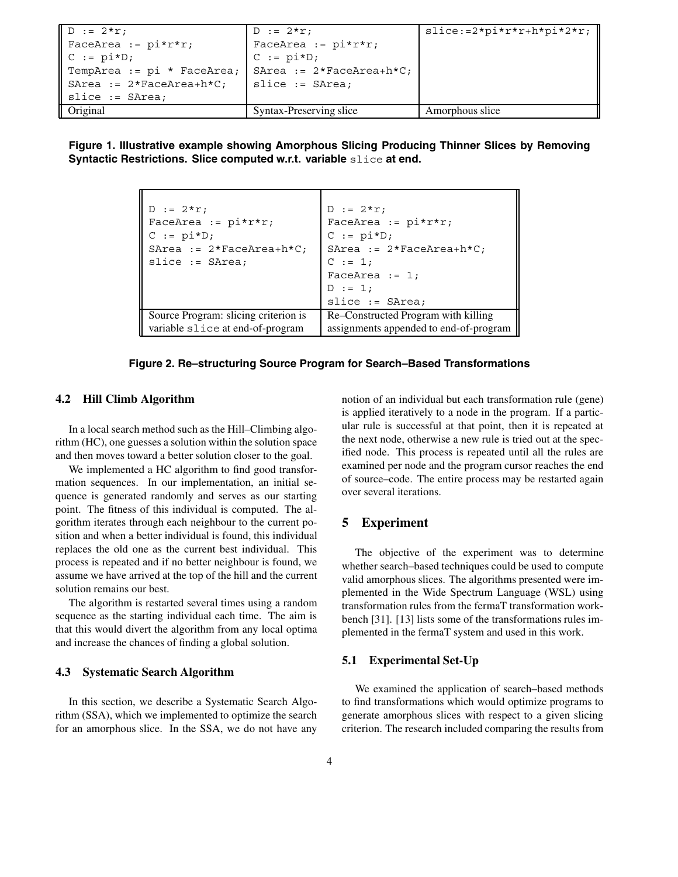| $D := 2*r;$                | $D := 2*r;$                | $slice:=2*pi*r*r+h*pi*2*r;$ |
|----------------------------|----------------------------|-----------------------------|
| FaceArea := $pi*rr;$       | FaceArea := $pi*rr;$       |                             |
| $C := \pi * D$ ;           | $C := \pi * D$ ;           |                             |
| TempArea := pi * FaceArea; | $SArea := 2*FaceArea+h*C;$ |                             |
| SArea := $2*FaceArea+h*C;$ | slice := SArea;            |                             |
| slice := SArea;            |                            |                             |
| Original                   | Syntax-Preserving slice    | Amorphous slice             |

**Figure 1. Illustrative example showing Amorphous Slicing Producing Thinner Slices by Removing Syntactic Restrictions. Slice computed w.r.t. variable** slice at end.

```
D := 2 \cdot r; D := 2 \cdot r;FaceArea := pi*rr; | FaceArea := pi*rr;
C := pi*D; C := pi*D;SArea := 2*FaceArea+h*C; SArea := 2*FaceArea+h*C;slice := SArea; \begin{array}{ccc} \vert & \vert & \vert & \vert & \vert & \vert \end{array}FaceArea := 1;D := 1;slice := SArea;
Source Program: slicing criterion is <br>Re–Constructed Program with killing
variable \text{slice} at end-of-program \vert assignments appended to end-of-program
```
#### **Figure 2. Re–structuring Source Program for Search–Based Transformations**

#### **4.2 Hill Climb Algorithm**

In a local search method such as the Hill–Climbing algorithm (HC), one guesses a solution within the solution space and then moves toward a better solution closer to the goal.

We implemented a HC algorithm to find good transformation sequences. In our implementation, an initial sequence is generated randomly and serves as our starting point. The fitness of this individual is computed. The algorithm iterates through each neighbour to the current position and when a better individual is found, this individual replaces the old one as the current best individual. This process is repeated and if no better neighbour is found, we assume we have arrived at the top of the hill and the current solution remains our best.

The algorithm is restarted several times using a random sequence as the starting individual each time. The aim is that this would divert the algorithm from any local optima and increase the chances of finding a global solution.

#### **4.3 Systematic Search Algorithm**

In this section, we describe a Systematic Search Algorithm (SSA), which we implemented to optimize the search for an amorphous slice. In the SSA, we do not have any notion of an individual but each transformation rule (gene) is applied iteratively to a node in the program. If a particular rule is successful at that point, then it is repeated at the next node, otherwise a new rule is tried out at the specified node. This process is repeated until all the rules are examined per node and the program cursor reaches the end of source–code. The entire process may be restarted again over several iterations.

## **5 Experiment**

The objective of the experiment was to determine whether search–based techniques could be used to compute valid amorphous slices. The algorithms presented were implemented in the Wide Spectrum Language (WSL) using transformation rules from the fermaT transformation workbench [31]. [13] lists some of the transformations rules implemented in the fermaT system and used in this work.

### **5.1 Experimental Set-Up**

We examined the application of search–based methods to find transformations which would optimize programs to generate amorphous slices with respect to a given slicing criterion. The research included comparing the results from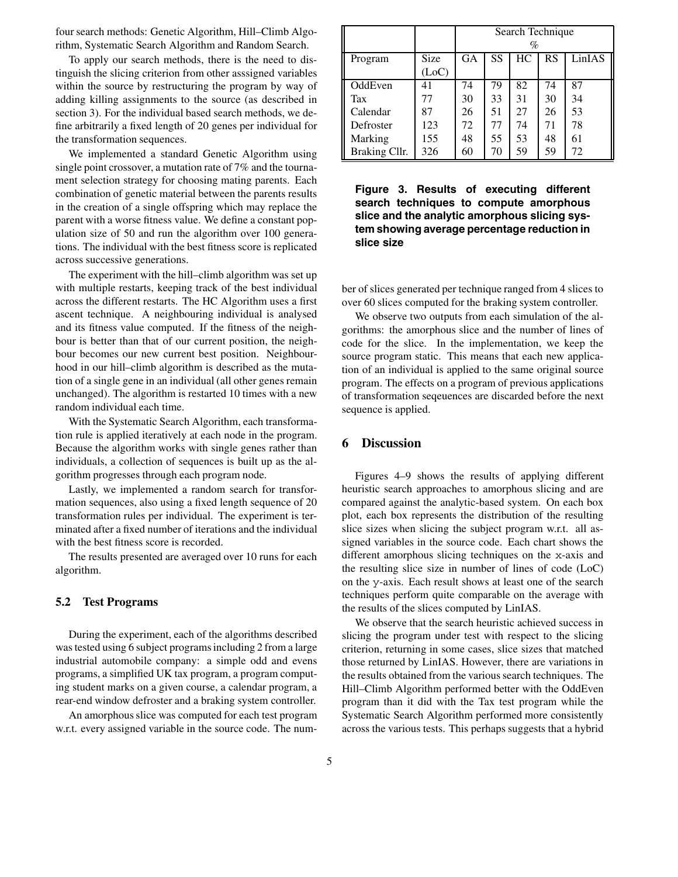four search methods: Genetic Algorithm, Hill–Climb Algorithm, Systematic Search Algorithm and Random Search.

To apply our search methods, there is the need to distinguish the slicing criterion from other asssigned variables within the source by restructuring the program by way of adding killing assignments to the source (as described in section 3). For the individual based search methods, we define arbitrarily a fixed length of 20 genes per individual for the transformation sequences.

We implemented a standard Genetic Algorithm using single point crossover, a mutation rate of 7% and the tournament selection strategy for choosing mating parents. Each combination of genetic material between the parents results in the creation of a single offspring which may replace the parent with a worse fitness value. We define a constant population size of 50 and run the algorithm over 100 generations. The individual with the best fitness score is replicated across successive generations.

The experiment with the hill–climb algorithm was set up with multiple restarts, keeping track of the best individual across the different restarts. The HC Algorithm uses a first ascent technique. A neighbouring individual is analysed and its fitness value computed. If the fitness of the neighbour is better than that of our current position, the neighbour becomes our new current best position. Neighbourhood in our hill–climb algorithm is described as the mutation of a single gene in an individual (all other genes remain unchanged). The algorithm is restarted 10 times with a new random individual each time.

With the Systematic Search Algorithm, each transformation rule is applied iteratively at each node in the program. Because the algorithm works with single genes rather than individuals, a collection of sequences is built up as the algorithm progresses through each program node.

Lastly, we implemented a random search for transformation sequences, also using a fixed length sequence of 20 transformation rules per individual. The experiment is terminated after a fixed number of iterations and the individual with the best fitness score is recorded.

The results presented are averaged over 10 runs for each algorithm.

### **5.2 Test Programs**

During the experiment, each of the algorithms described was tested using 6 subject programs including 2 from a large industrial automobile company: a simple odd and evens programs, a simplified UK tax program, a program computing student marks on a given course, a calendar program, a rear-end window defroster and a braking system controller.

An amorphous slice was computed for each test program w.r.t. every assigned variable in the source code. The num-

|               |       | Search Technique<br>$\%$ |           |    |           |        |
|---------------|-------|--------------------------|-----------|----|-----------|--------|
| Program       | Size  | <b>GA</b>                | <b>SS</b> | HC | <b>RS</b> | LinIAS |
|               | (LoC) |                          |           |    |           |        |
| OddEven       | 41    | 74                       | 79        | 82 | 74        | 87     |
| <b>Tax</b>    |       | 30                       | 33        | 31 | 30        | 34     |
| Calendar      | 87    | 26                       | 51        | 27 | 26        | 53     |
| Defroster     | 123   | 72                       | 77        | 74 | 71        | 78     |
| Marking       | 155   | 48                       | 55        | 53 | 48        | 61     |
| Braking Cllr. | 326   | 60                       | 70        | 59 | 59        | 72.    |

**Figure 3. Results of executing different search techniques to compute amorphous slice and the analytic amorphous slicing system showing average percentage reduction in slice size**

ber of slices generated per technique ranged from 4 slices to over 60 slices computed for the braking system controller.

We observe two outputs from each simulation of the algorithms: the amorphous slice and the number of lines of code for the slice. In the implementation, we keep the source program static. This means that each new application of an individual is applied to the same original source program. The effects on a program of previous applications of transformation seqeuences are discarded before the next sequence is applied.

### **6 Discussion**

Figures 4–9 shows the results of applying different heuristic search approaches to amorphous slicing and are compared against the analytic-based system. On each box plot, each box represents the distribution of the resulting slice sizes when slicing the subject program w.r.t. all assigned variables in the source code. Each chart shows the different amorphous slicing techniques on the x-axis and the resulting slice size in number of lines of code (LoC) on the y-axis. Each result shows at least one of the search techniques perform quite comparable on the average with the results of the slices computed by LinIAS.

We observe that the search heuristic achieved success in slicing the program under test with respect to the slicing criterion, returning in some cases, slice sizes that matched those returned by LinIAS. However, there are variations in the results obtained from the various search techniques. The Hill–Climb Algorithm performed better with the OddEven program than it did with the Tax test program while the Systematic Search Algorithm performed more consistently across the various tests. This perhaps suggests that a hybrid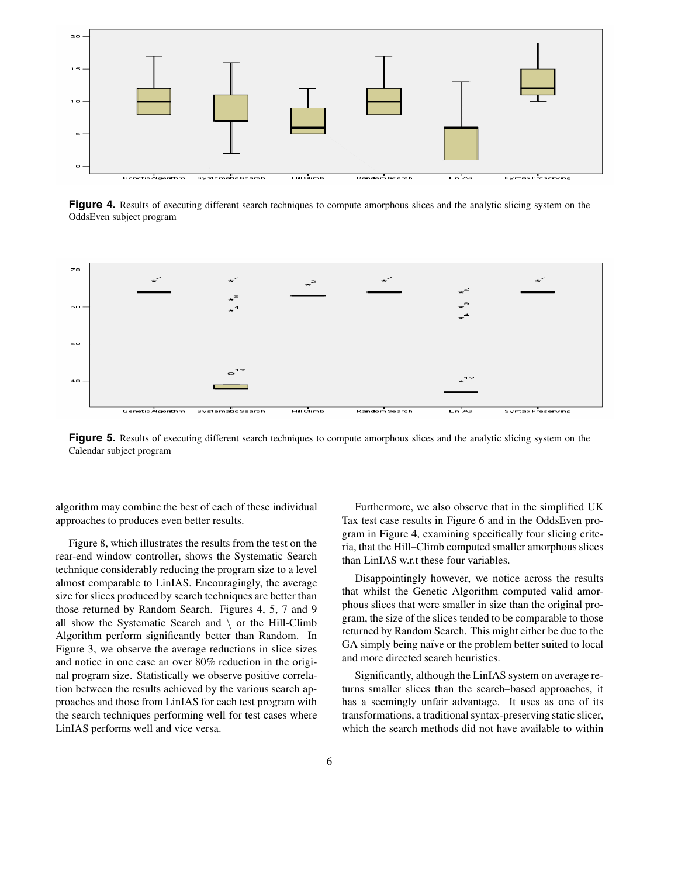

Figure 4. Results of executing different search techniques to compute amorphous slices and the analytic slicing system on the OddsEven subject program



**Figure 5.** Results of executing different search techniques to compute amorphous slices and the analytic slicing system on the Calendar subject program

algorithm may combine the best of each of these individual approaches to produces even better results.

Figure 8, which illustrates the results from the test on the rear-end window controller, shows the Systematic Search technique considerably reducing the program size to a level almost comparable to LinIAS. Encouragingly, the average size for slices produced by search techniques are better than those returned by Random Search. Figures 4, 5, 7 and 9 all show the Systematic Search and *\* or the Hill-Climb Algorithm perform significantly better than Random. In Figure 3, we observe the average reductions in slice sizes and notice in one case an over 80% reduction in the original program size. Statistically we observe positive correlation between the results achieved by the various search approaches and those from LinIAS for each test program with the search techniques performing well for test cases where LinIAS performs well and vice versa.

Furthermore, we also observe that in the simplified UK Tax test case results in Figure 6 and in the OddsEven program in Figure 4, examining specifically four slicing criteria, that the Hill–Climb computed smaller amorphous slices than LinIAS w.r.t these four variables.

Disappointingly however, we notice across the results that whilst the Genetic Algorithm computed valid amorphous slices that were smaller in size than the original program, the size of the slices tended to be comparable to those returned by Random Search. This might either be due to the GA simply being naïve or the problem better suited to local and more directed search heuristics.

Significantly, although the LinIAS system on average returns smaller slices than the search–based approaches, it has a seemingly unfair advantage. It uses as one of its transformations, a traditional syntax-preserving static slicer, which the search methods did not have available to within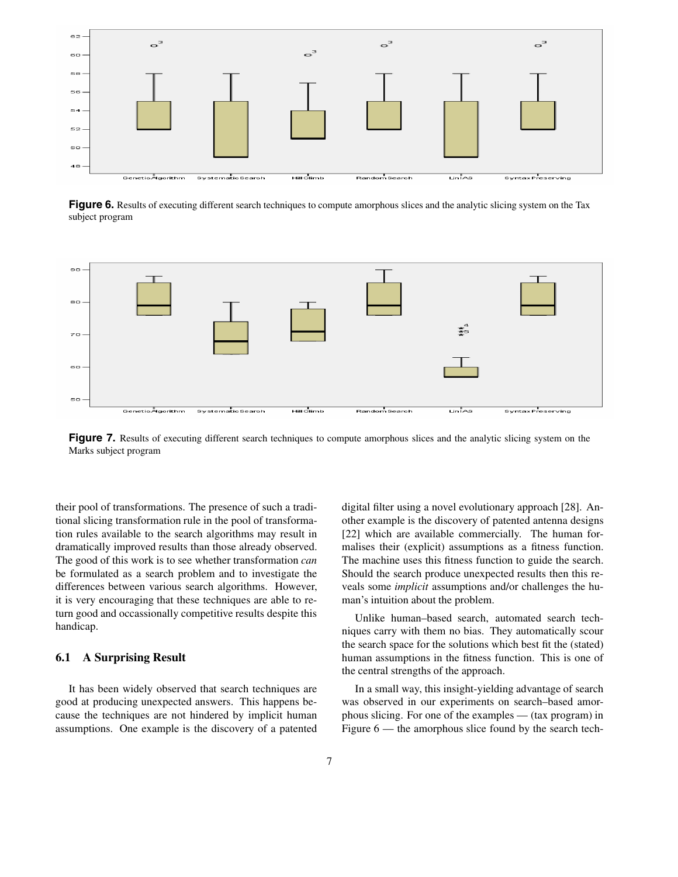

**Figure 6.** Results of executing different search techniques to compute amorphous slices and the analytic slicing system on the Tax subject program



**Figure 7.** Results of executing different search techniques to compute amorphous slices and the analytic slicing system on the Marks subject program

their pool of transformations. The presence of such a traditional slicing transformation rule in the pool of transformation rules available to the search algorithms may result in dramatically improved results than those already observed. The good of this work is to see whether transformation *can* be formulated as a search problem and to investigate the differences between various search algorithms. However, it is very encouraging that these techniques are able to return good and occassionally competitive results despite this handicap.

# **6.1 A Surprising Result**

It has been widely observed that search techniques are good at producing unexpected answers. This happens because the techniques are not hindered by implicit human assumptions. One example is the discovery of a patented digital filter using a novel evolutionary approach [28]. Another example is the discovery of patented antenna designs [22] which are available commercially. The human formalises their (explicit) assumptions as a fitness function. The machine uses this fitness function to guide the search. Should the search produce unexpected results then this reveals some *implicit* assumptions and/or challenges the human's intuition about the problem.

Unlike human–based search, automated search techniques carry with them no bias. They automatically scour the search space for the solutions which best fit the (stated) human assumptions in the fitness function. This is one of the central strengths of the approach.

In a small way, this insight-yielding advantage of search was observed in our experiments on search–based amorphous slicing. For one of the examples — (tax program) in Figure 6 — the amorphous slice found by the search tech-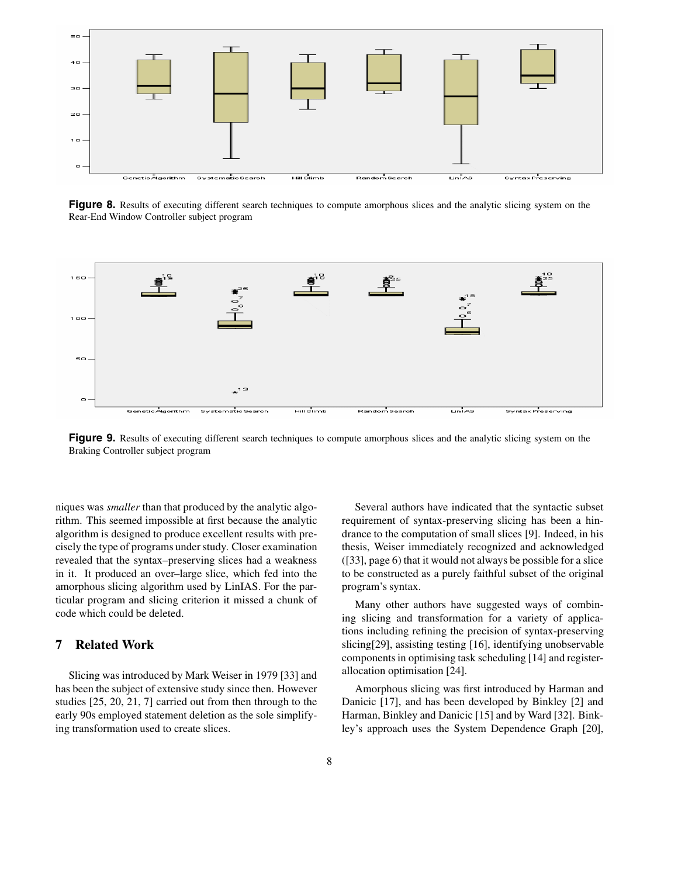

Figure 8. Results of executing different search techniques to compute amorphous slices and the analytic slicing system on the Rear-End Window Controller subject program



Figure 9. Results of executing different search techniques to compute amorphous slices and the analytic slicing system on the Braking Controller subject program

niques was *smaller* than that produced by the analytic algorithm. This seemed impossible at first because the analytic algorithm is designed to produce excellent results with precisely the type of programs under study. Closer examination revealed that the syntax–preserving slices had a weakness in it. It produced an over–large slice, which fed into the amorphous slicing algorithm used by LinIAS. For the particular program and slicing criterion it missed a chunk of code which could be deleted.

# **7 Related Work**

Slicing was introduced by Mark Weiser in 1979 [33] and has been the subject of extensive study since then. However studies [25, 20, 21, 7] carried out from then through to the early 90s employed statement deletion as the sole simplifying transformation used to create slices.

Several authors have indicated that the syntactic subset requirement of syntax-preserving slicing has been a hindrance to the computation of small slices [9]. Indeed, in his thesis, Weiser immediately recognized and acknowledged ([33], page 6) that it would not always be possible for a slice to be constructed as a purely faithful subset of the original program's syntax.

Many other authors have suggested ways of combining slicing and transformation for a variety of applications including refining the precision of syntax-preserving slicing[29], assisting testing [16], identifying unobservable components in optimising task scheduling [14] and registerallocation optimisation [24].

Amorphous slicing was first introduced by Harman and Danicic [17], and has been developed by Binkley [2] and Harman, Binkley and Danicic [15] and by Ward [32]. Binkley's approach uses the System Dependence Graph [20],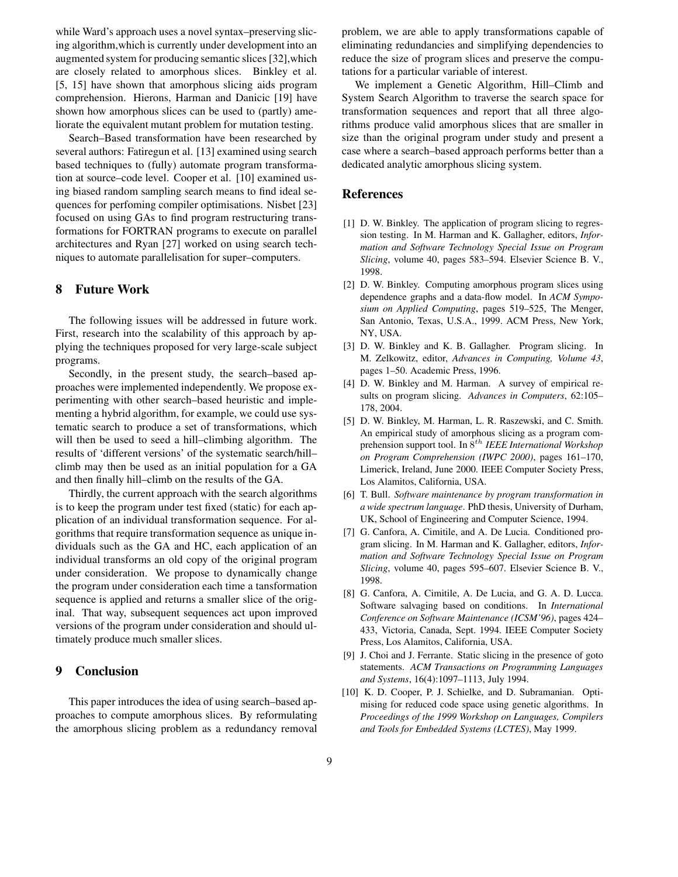while Ward's approach uses a novel syntax–preserving slicing algorithm,which is currently under development into an augmented system for producing semantic slices [32],which are closely related to amorphous slices. Binkley et al. [5, 15] have shown that amorphous slicing aids program comprehension. Hierons, Harman and Danicic [19] have shown how amorphous slices can be used to (partly) ameliorate the equivalent mutant problem for mutation testing.

Search–Based transformation have been researched by several authors: Fatiregun et al. [13] examined using search based techniques to (fully) automate program transformation at source–code level. Cooper et al. [10] examined using biased random sampling search means to find ideal sequences for perfoming compiler optimisations. Nisbet [23] focused on using GAs to find program restructuring transformations for FORTRAN programs to execute on parallel architectures and Ryan [27] worked on using search techniques to automate parallelisation for super–computers.

### **8 Future Work**

The following issues will be addressed in future work. First, research into the scalability of this approach by applying the techniques proposed for very large-scale subject programs.

Secondly, in the present study, the search–based approaches were implemented independently. We propose experimenting with other search–based heuristic and implementing a hybrid algorithm, for example, we could use systematic search to produce a set of transformations, which will then be used to seed a hill–climbing algorithm. The results of 'different versions' of the systematic search/hill– climb may then be used as an initial population for a GA and then finally hill–climb on the results of the GA.

Thirdly, the current approach with the search algorithms is to keep the program under test fixed (static) for each application of an individual transformation sequence. For algorithms that require transformation sequence as unique individuals such as the GA and HC, each application of an individual transforms an old copy of the original program under consideration. We propose to dynamically change the program under consideration each time a tansformation sequence is applied and returns a smaller slice of the original. That way, subsequent sequences act upon improved versions of the program under consideration and should ultimately produce much smaller slices.

### **9 Conclusion**

This paper introduces the idea of using search–based approaches to compute amorphous slices. By reformulating the amorphous slicing problem as a redundancy removal problem, we are able to apply transformations capable of eliminating redundancies and simplifying dependencies to reduce the size of program slices and preserve the computations for a particular variable of interest.

We implement a Genetic Algorithm, Hill–Climb and System Search Algorithm to traverse the search space for transformation sequences and report that all three algorithms produce valid amorphous slices that are smaller in size than the original program under study and present a case where a search–based approach performs better than a dedicated analytic amorphous slicing system.

### **References**

- [1] D. W. Binkley. The application of program slicing to regression testing. In M. Harman and K. Gallagher, editors, *Information and Software Technology Special Issue on Program Slicing*, volume 40, pages 583–594. Elsevier Science B. V., 1998.
- [2] D. W. Binkley. Computing amorphous program slices using dependence graphs and a data-flow model. In *ACM Symposium on Applied Computing*, pages 519–525, The Menger, San Antonio, Texas, U.S.A., 1999. ACM Press, New York, NY, USA.
- [3] D. W. Binkley and K. B. Gallagher. Program slicing. In M. Zelkowitz, editor, *Advances in Computing, Volume 43*, pages 1–50. Academic Press, 1996.
- [4] D. W. Binkley and M. Harman. A survey of empirical results on program slicing. *Advances in Computers*, 62:105– 178, 2004.
- [5] D. W. Binkley, M. Harman, L. R. Raszewski, and C. Smith. An empirical study of amorphous slicing as a program comprehension support tool. In 8*th IEEE International Workshop on Program Comprehension (IWPC 2000)*, pages 161–170, Limerick, Ireland, June 2000. IEEE Computer Society Press, Los Alamitos, California, USA.
- [6] T. Bull. *Software maintenance by program transformation in a wide spectrum language*. PhD thesis, University of Durham, UK, School of Engineering and Computer Science, 1994.
- [7] G. Canfora, A. Cimitile, and A. De Lucia. Conditioned program slicing. In M. Harman and K. Gallagher, editors, *Information and Software Technology Special Issue on Program Slicing*, volume 40, pages 595–607. Elsevier Science B. V., 1998.
- [8] G. Canfora, A. Cimitile, A. De Lucia, and G. A. D. Lucca. Software salvaging based on conditions. In *International Conference on Software Maintenance (ICSM'96)*, pages 424– 433, Victoria, Canada, Sept. 1994. IEEE Computer Society Press, Los Alamitos, California, USA.
- [9] J. Choi and J. Ferrante. Static slicing in the presence of goto statements. *ACM Transactions on Programming Languages and Systems*, 16(4):1097–1113, July 1994.
- [10] K. D. Cooper, P. J. Schielke, and D. Subramanian. Optimising for reduced code space using genetic algorithms. In *Proceedings of the 1999 Workshop on Languages, Compilers and Tools for Embedded Systems (LCTES)*, May 1999.